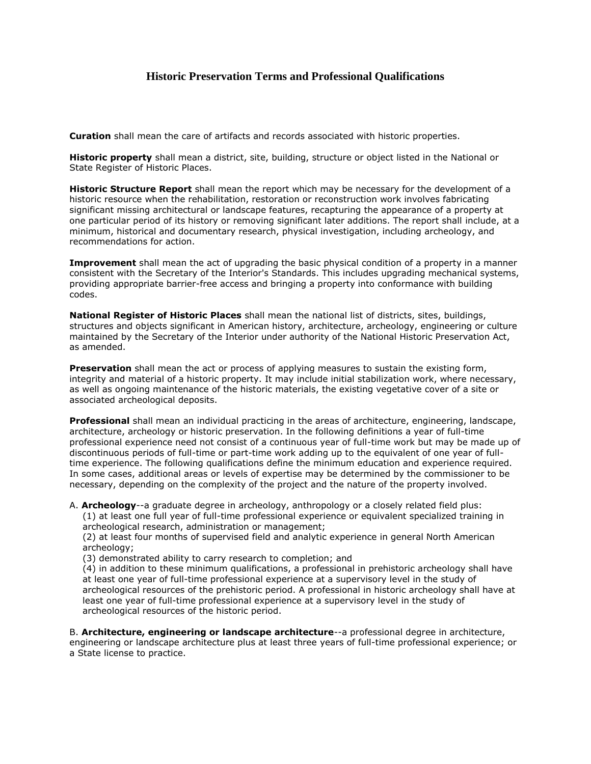## **Historic Preservation Terms and Professional Qualifications**

**Curation** shall mean the care of artifacts and records associated with historic properties.

**Historic property** shall mean a district, site, building, structure or object listed in the National or State Register of Historic Places.

**Historic Structure Report** shall mean the report which may be necessary for the development of a historic resource when the rehabilitation, restoration or reconstruction work involves fabricating significant missing architectural or landscape features, recapturing the appearance of a property at one particular period of its history or removing significant later additions. The report shall include, at a minimum, historical and documentary research, physical investigation, including archeology, and recommendations for action.

**Improvement** shall mean the act of upgrading the basic physical condition of a property in a manner consistent with the Secretary of the Interior's Standards. This includes upgrading mechanical systems, providing appropriate barrier-free access and bringing a property into conformance with building codes.

**National Register of Historic Places** shall mean the national list of districts, sites, buildings, structures and objects significant in American history, architecture, archeology, engineering or culture maintained by the Secretary of the Interior under authority of the National Historic Preservation Act, as amended.

**Preservation** shall mean the act or process of applying measures to sustain the existing form, integrity and material of a historic property. It may include initial stabilization work, where necessary, as well as ongoing maintenance of the historic materials, the existing vegetative cover of a site or associated archeological deposits.

**Professional** shall mean an individual practicing in the areas of architecture, engineering, landscape, architecture, archeology or historic preservation. In the following definitions a year of full-time professional experience need not consist of a continuous year of full-time work but may be made up of discontinuous periods of full-time or part-time work adding up to the equivalent of one year of fulltime experience. The following qualifications define the minimum education and experience required. In some cases, additional areas or levels of expertise may be determined by the commissioner to be necessary, depending on the complexity of the project and the nature of the property involved.

A. **Archeology**--a graduate degree in archeology, anthropology or a closely related field plus:

(1) at least one full year of full-time professional experience or equivalent specialized training in archeological research, administration or management;

(2) at least four months of supervised field and analytic experience in general North American archeology;

(3) demonstrated ability to carry research to completion; and

(4) in addition to these minimum qualifications, a professional in prehistoric archeology shall have at least one year of full-time professional experience at a supervisory level in the study of archeological resources of the prehistoric period. A professional in historic archeology shall have at least one year of full-time professional experience at a supervisory level in the study of archeological resources of the historic period.

B. **Architecture, engineering or landscape architecture**--a professional degree in architecture, engineering or landscape architecture plus at least three years of full-time professional experience; or a State license to practice.